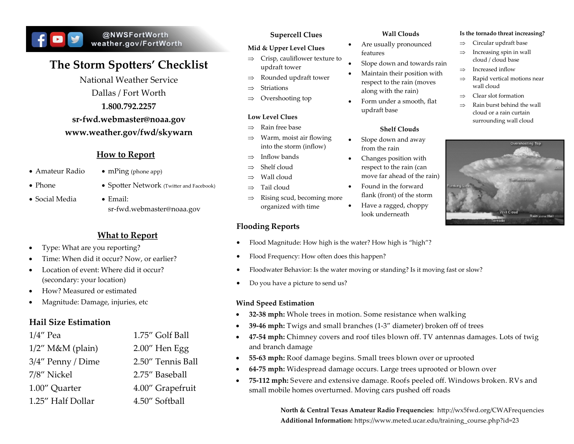# @NWSFortWorth weather.gov/FortWorth

# **The Storm Spotters' Checklist**

National Weather Service Dallas / Fort Worth **1.800.792.2257 sr-fwd.webmaster@noaa.gov**

# **www.weather.gov/fwd/skywarn**

# **How to Report**

- $\bullet$  Amateur Radio  $\bullet$  mPing (phone app)
- 
- Social Media Email:
- Phone Spotter Network (Twitter and Facebook)
	- sr-fwd.webmaster@noaa.gov

# **What to Report**

- Type: What are you reporting?
- Time: When did it occur? Now, or earlier?
- Location of event: Where did it occur? (secondary: your location)
- How? Measured or estimated
- Magnitude: Damage, injuries, etc

# **Hail Size Estimation**

| $1/4$ " Pea         | 1.75" Golf Ball   |
|---------------------|-------------------|
| $1/2$ " M&M (plain) | $2.00''$ Hen Egg  |
| 3/4" Penny / Dime   | 2.50" Tennis Ball |
| 7/8" Nickel         | 2.75" Baseball    |
| 1.00" Quarter       | 4.00" Grapefruit  |
| 1.25" Half Dollar   | 4.50" Softball    |

#### **Supercell Clues**

#### **Mid & Upper Level Clues**

- $\Rightarrow$  Crisp, cauliflower texture to updraft tower
- $\Rightarrow$  Rounded updraft tower
- Striations
- $\Rightarrow$  Overshooting top

#### **Low Level Clues**

- $\Rightarrow$  Rain free base
- $\Rightarrow$  Warm, moist air flowing into the storm (inflow)
- $\Rightarrow$  Inflow bands
- $\rightarrow$  Shelf cloud
- $\Rightarrow$  Wall cloud
- $\Rightarrow$  Tail cloud
- $\Rightarrow$  Rising scud, becoming more organized with time

# **Flooding Reports**

#### **Wall Clouds**

- Are usually pronounced features
- Slope down and towards rain
- Maintain their position with respect to the rain (moves along with the rain)
- Form under a smooth, flat updraft base

#### **Shelf Clouds**

- Slope down and away from the rain
- Changes position with respect to the rain (can move far ahead of the rain)
- Found in the forward flank (front) of the storm
- Have a ragged, choppy look underneath
- Flood Magnitude: How high is the water? How high is "high"?
- Flood Frequency: How often does this happen?
- Floodwater Behavior: Is the water moving or standing? Is it moving fast or slow?
- Do you have a picture to send us?

#### **Wind Speed Estimation**

- **32-38 mph:** Whole trees in motion. Some resistance when walking
- **39-46 mph:** Twigs and small branches (1-3" diameter) broken off of trees
- **47-54 mph:** Chimney covers and roof tiles blown off. TV antennas damages. Lots of twig and branch damage
- **55-63 mph:** Roof damage begins. Small trees blown over or uprooted
- **64-75 mph:** Widespread damage occurs. Large trees uprooted or blown over
- **75-112 mph:** Severe and extensive damage. Roofs peeled off. Windows broken. RVs and small mobile homes overturned. Moving cars pushed off roads

**North & Central Texas Amateur Radio Frequencies:** http://wx5fwd.org/CWAFrequencies **Additional Information:** https://www.meted.ucar.edu/training\_course.php?id=23

Overshooting Top **Wall Cloud** Rain and/or Hail

**Is the tornado threat increasing?**   $\Rightarrow$  Circular updraft base  $\Rightarrow$  Increasing spin in wall cloud / cloud base  $\Rightarrow$  Increased inflow

Rapid vertical motions near

wall cloud  $\Rightarrow$  Clear slot formation  $\Rightarrow$  Rain burst behind the wall cloud or a rain curtain surrounding wall cloud